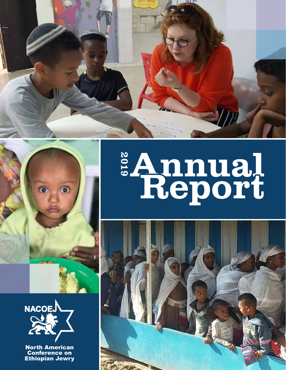









North American **Conference on** Ethiopian Jewry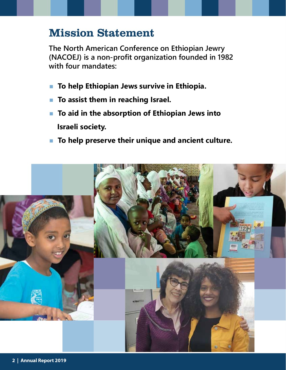### Mission Statement

**The North American Conference on Ethiopian Jewry (NACOEJ) is a non-profit organization founded in 1982 with four mandates:**

- **E** To help Ethiopian Jews survive in Ethiopia.
- **EXTE:** To assist them in reaching Israel.
- **To aid in the absorption of Ethiopian Jews into Israeli society.**
- **To help preserve their unique and ancient culture.**

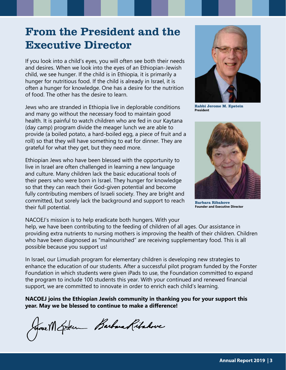## From the President and the Executive Director

If you look into a child's eyes, you will often see both their needs and desires. When we look into the eyes of an Ethiopian-Jewish child, we see hunger. If the child is in Ethiopia, it is primarily a hunger for nutritious food. If the child is already in Israel, it is often a hunger for knowledge. One has a desire for the nutrition of food. The other has the desire to learn.

Jews who are stranded in Ethiopia live in deplorable conditions and many go without the necessary food to maintain good health. It is painful to watch children who are fed in our Kaytana (day camp) program divide the meager lunch we are able to provide (a boiled potato, a hard-boiled egg, a piece of fruit and a roll) so that they will have something to eat for dinner. They are grateful for what they get, but they need more.

Ethiopian Jews who have been blessed with the opportunity to live in Israel are often challenged in learning a new language and culture. Many children lack the basic educational tools of their peers who were born in Israel. They hunger for knowledge so that they can reach their God-given potential and become fully contributing members of Israeli society. They are bright and committed, but sorely lack the background and support to reach their full potential.



**Rabbi Jerome M. Epstein President**



**Barbara Ribakove Founder and Executive Director**

NACOEJ's mission is to help eradicate both hungers. With your help, we have been contributing to the feeding of children of all ages. Our assistance in providing extra nutrients to nursing mothers is improving the health of their children. Children who have been diagnosed as "malnourished" are receiving supplementary food. This is all possible because you support us!

In Israel, our Limudiah program for elementary children is developing new strategies to enhance the education of our students. After a successful pilot program funded by the Forster Foundation in which students were given iPads to use, the Foundation committed to expand the program to include 100 students this year. With your continued and renewed financial support, we are committed to innovate in order to enrich each child's learning.

**NACOEJ joins the Ethiopian Jewish community in thanking you for your support this year. May we be blessed to continue to make a difference!**

Grave M Externe Barbara Ritchove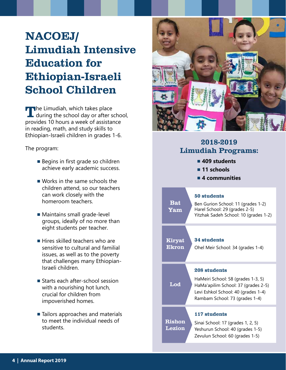# NACOEJ/ Limudiah Intensive Education for Ethiopian-Israeli School Children

The Limudiah, which takes place<br>
during the school day or after school, provides 10 hours a week of assistance in reading, math, and study skills to Ethiopian-Israeli children in grades 1-6.

The program:

- Begins in first grade so children achieve early academic success.
- Works in the same schools the children attend, so our teachers can work closely with the homeroom teachers.
- Maintains small grade-level groups, ideally of no more than eight students per teacher.
- Hires skilled teachers who are sensitive to cultural and familial issues, as well as to the poverty that challenges many Ethiopian-Israeli children.
- Starts each after-school session with a nourishing hot lunch, crucial for children from impoverished homes.
- Tailors approaches and materials to meet the individual needs of students.



### 2018-2019 Limudiah Programs: **■ 409 students ■ 11 schools ■ 4 communities** 50 students Ben Gurion School: 11 (grades 1-2) Harel School: 29 (grades 2-5) Yitzhak Sadeh School: 10 (grades 1-2) Bat Yam Lod 208 students HaMeiri School: 58 (grades 1-3, 5) HaMa'apilim School: 37 (grades 2-5) Levi Eshkol School: 40 (grades 1-4) Rambam School: 73 (grades 1-4) Rishon Lezion 117 students Sinai School: 17 (grades 1, 2, 5) Yeshurun School: 40 (grades 1-5) Zevulun School: 60 (grades 1-5) Kiryat Ekron 34 students Ohel Meir School: 34 (grades 1-4)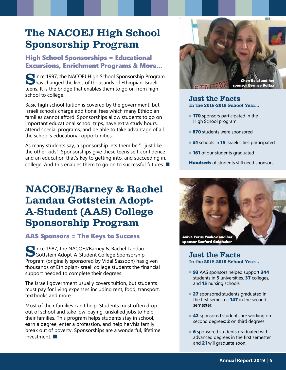### The NACOEJ High School Sponsorship Program

### High School Sponsorships = Educational Excursions, Enrichment Programs & More...

Since 1997, the NACOEJ High School Sponsorship Program has changed the lives of thousands of Ethiopian-Israeli teens. It is the bridge that enables them to go on from high school to college.

Basic high school tuition is covered by the government, but Israeli schools charge additional fees which many Ethiopian families cannot afford. Sponsorships allow students to go on important educational school trips, have extra study hours, attend special programs, and be able to take advantage of all the school's educational opportunities.

As many students say, a sponsorship lets them be "…just like the other kids". Sponsorships give these teens self-confidence and an education that's key to getting into, and succeeding in, college. And this enables them to go on to successful futures. ■

### NACOEJ/Barney & Rachel Landau Gottstein Adopt-A-Student (AAS) College Sponsorship Program

### AAS Sponsors = The Keys to Success

Since 1987, the NACOEJ/Barney & Rachel Landau<br>Gottstein Adopt-A-Student College Sponsorship Program (originally sponsored by Vidal Sassoon) has given thousands of Ethiopian-Israeli college students the financial support needed to complete their degrees.

The Israeli government usually covers tuition, but students must pay for living expenses including rent, food, transport, textbooks and more.

Most of their families can't help. Students must often drop out of school and take low-paying, unskilled jobs to help their families. This program helps students stay in school, earn a degree, enter a profession, and help her/his family break out of poverty. Sponsorships are a wonderful, lifetime investment.



#### Just the Facts In the 2018-2019 School Year...

- **170** sponsors participated in the High School program
- 870 students were sponsored
- 51 schools in 15 Israeli cities participated
- 161 of our students graduated

**Hundreds** of students still need sponsors



#### Just the Facts In the 2018-2019 School Year...

- 93 AAS sponsors helped support 344 students in 5 universities, 37 colleges, and 15 nursing schools
- 27 sponsored students graduated in the first semester; **147** in the second semester.
- 42 sponsored students are working on second degrees; 2 on third degrees.
- **6** sponsored students graduated with advanced degrees in the first semester and 21 will graduate soon.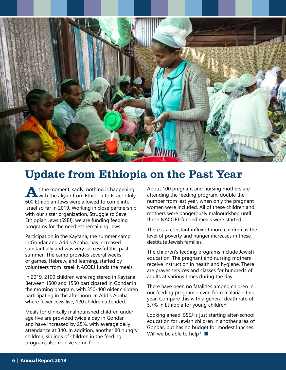

### Update from Ethiopia on the Past Year

t the moment, sadly, nothing is happening with the aliyah from Ethiopia to Israel. Only 600 Ethiopian Jews were allowed to come into Israel so far in 2019. Working in close partnership with our sister organization, Struggle to Save Ethiopian Jews (SSEJ), we are funding feeding programs for the neediest remaining Jews.

Participation in the Kaytana, the summer camp in Gondar and Addis Ababa, has increased substantially and was very successful this past summer. The camp provides several weeks of games, Hebrew, and learning, staffed by volunteers from Israel. NACOEJ funds the meals.

In 2019, 2100 children were registered in Kaytana. Between 1500 and 1550 participated in Gondar in the morning program, with 350-400 older children participating in the afternoon. In Addis Ababa, where fewer Jews live, 120 children attended.

Meals for clinically malnourished children under age five are provided twice a day in Gondar and have increased by 25%, with average daily attendance at 340. In addition, another 80 hungry children, siblings of children in the feeding program, also receive some food.

About 100 pregnant and nursing mothers are attending the feeding program, double the number from last year, when only the pregnant women were included. All of these children and mothers were dangerously malnourished until these NACOEJ-funded meals were started.

There is a constant influx of more children as the level of poverty and hunger increases in these destitute Jewish families.

The children's feeding programs include Jewish education. The pregnant and nursing mothers receive instruction in health and hygiene. There are prayer services and classes for hundreds of adults at various times during the day.

There have been no fatalities among chidren in our feeding program – even from malaria - this year. Compare this with a general death rate of 5.7% in Ethiopia for young children.

Looking ahead, SSEJ is just starting after-school education for Jewish children in another area of Gondar, but has no budget for modest lunches. Will we be able to help?  $\blacksquare$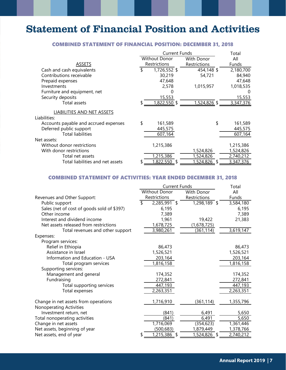### Statement of Financial Position and Activities

#### COMBINED STATEMENT OF FINANCIAL POSITION: DECEMBER 31, 2018

|                                       |              | <b>Current Funds</b>        | Total                     |              |  |
|---------------------------------------|--------------|-----------------------------|---------------------------|--------------|--|
|                                       |              | Without Donor<br>With Donor |                           | All          |  |
| <b>ASSETS</b>                         | Restrictions |                             | Restrictions              | <b>Funds</b> |  |
| Cash and cash equivalents             |              | 1,726,552 \$                | 454,148 \$                | 2,180,700    |  |
| Contributions receivable              |              | 30,219                      | 54,721                    | 84,940       |  |
| Prepaid expenses                      |              | 47,648                      |                           | 47,648       |  |
| Investments                           |              | 2,578                       | 1,015,957                 | 1,018,535    |  |
| Furniture and equipment, net          |              |                             |                           | $\Omega$     |  |
| Security deposits                     |              | 15,553                      |                           | 15,553       |  |
| Total assets                          |              | 1,822,550 \$                | $\overline{1,524,826}$ \$ | 3,347,376    |  |
| <b>LIABILITIES AND NET ASSETS</b>     |              |                             |                           |              |  |
| Liabilities:                          |              |                             |                           |              |  |
| Accounts payable and accrued expenses | \$           | 161,589                     | \$                        | 161,589      |  |
| Deferred public support               |              | 445,575                     |                           | 445,575      |  |
| <b>Total liabilities</b>              |              | 607,164                     |                           | 607,164      |  |
| Net assets:                           |              |                             |                           |              |  |
| Without donor restrictions            |              | 1,215,386                   |                           | 1,215,386    |  |
| With donor restrictions               |              |                             | 1,524,826                 | 1,524,826    |  |
| Total net assets                      |              | 1,215,386                   | 1,524,826                 | 2,740,212    |  |
| Total liabilities and net assets      |              | 1,822,550                   | 1,524,826                 | 3,347,376    |  |

#### COMBINED STATEMENT OF ACTIVITIES: YEAR ENDED DECEMBER 31, 2018

|                                            | <b>Current Funds</b> |                              |  |                   |  | Total     |  |
|--------------------------------------------|----------------------|------------------------------|--|-------------------|--|-----------|--|
|                                            | Without Donor        |                              |  | <b>With Donor</b> |  | All       |  |
| Revenues and Other Support:                |                      | Restrictions<br>Restrictions |  |                   |  | Funds     |  |
| Public support                             | \$                   | 2,285,991 \$                 |  | 1,298,189 \$      |  | 3,584,180 |  |
| Sales (net of cost of goods sold of \$397) |                      | 6,195                        |  |                   |  | 6,195     |  |
| Other income                               |                      | 7,389                        |  |                   |  | 7,389     |  |
| Interest and dividend income               |                      | 1,961                        |  | 19,422            |  | 21,383    |  |
| Net assets released from restrictions      |                      | 1,678,725                    |  | (1,678,725)       |  |           |  |
| Total revenues and other support           |                      | 3,980,261                    |  | (361,114)         |  | 3,619,147 |  |
| Expenses:                                  |                      |                              |  |                   |  |           |  |
| Program services:                          |                      |                              |  |                   |  |           |  |
| Relief in Ethiopia                         |                      | 86,473                       |  |                   |  | 86,473    |  |
| Assistance in Israel                       |                      | 1,526,521                    |  |                   |  | 1,526,521 |  |
| Information and Education - USA            |                      | 203,164                      |  |                   |  | 203,164   |  |
| Total program services                     |                      | 1,816,158                    |  |                   |  | 1,816,158 |  |
| Supporting services:                       |                      |                              |  |                   |  |           |  |
| Management and general                     |                      | 174,352                      |  |                   |  | 174,352   |  |
| Fundraising                                |                      | 272,841                      |  |                   |  | 272,841   |  |
| Total supporting services                  |                      | 447,193                      |  |                   |  | 447,193   |  |
| Total expenses                             |                      | 2,263,351                    |  |                   |  | 2,263,351 |  |
| Change in net assets from operations       |                      | 1,716,910                    |  | (361,114)         |  | 1,355,796 |  |
| Nonoperating Activities                    |                      |                              |  |                   |  |           |  |
| Investment return, net                     |                      | (841)                        |  | 6,491             |  | 5,650     |  |
| Total nonoperating activities              |                      | (841)                        |  | 6,491             |  | 5,650     |  |
| Change in net assets                       |                      | 1,716,069                    |  | (354, 623)        |  | 1,361,446 |  |
| Net assets, beginning of year              |                      | (500,683)                    |  | 1,879,449         |  | 1,378,766 |  |
| Net assets, end of year                    |                      | 1,215,386                    |  | 1,524,826 \$      |  | 2,740,212 |  |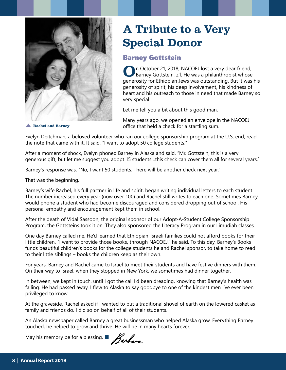

# A Tribute to a Very Special Donor

### Barney Gottstein

On October 21, 2018, NACOEJ lost a very dear friend, Barney Gottstein, z'l. He was a philanthropist whose generosity for Ethiopian Jews was outstanding. But it was his generosity of spirit, his deep involvement, his kindness of heart and his outreach to those in need that made Barney so very special.

Let me tell you a bit about this good man.

Many years ago, we opened an envelope in the NACOEJ office that held a check for a startling sum.

**Rachel and Barney**

Evelyn Deitchman, a beloved volunteer who ran our college sponsorship program at the U.S. end, read the note that came with it. It said, "I want to adopt 50 college students."

After a moment of shock, Evelyn phoned Barney in Alaska and said, "Mr. Gottstein, this is a very generous gift, but let me suggest you adopt 15 students…this check can cover them all for several years."

Barney's response was, "No, I want 50 students. There will be another check next year."

That was the beginning.

Barney's wife Rachel, his full partner in life and spirit, began writing individual letters to each student. The number increased every year (now over 100) and Rachel still writes to each one. Sometimes Barney would phone a student who had become discouraged and considered dropping out of school. His personal empathy and encouragement kept them in school.

After the death of Vidal Sassoon, the original sponsor of our Adopt-A-Student College Sponsorship Program, the Gottsteins took it on. They also sponsored the Literacy Program in our Limudiah classes.

One day Barney called me. He'd learned that Ethiopian-Israeli families could not afford books for their little children. "I want to provide those books, through NACOEJ," he said. To this day, Barney's Books funds beautiful children's books for the college students he and Rachel sponsor, to take home to read to their little siblings – books the children keep as their own.

For years, Barney and Rachel came to Israel to meet their students and have festive dinners with them. On their way to Israel, when they stopped in New York, we sometimes had dinner together.

In between, we kept in touch, until I got the call I'd been dreading, knowing that Barney's health was failing. He had passed away. I flew to Alaska to say goodbye to one of the kindest men I've ever been privileged to know.

At the graveside, Rachel asked if I wanted to put a traditional shovel of earth on the lowered casket as family and friends do. I did so on behalf of all of their students.

An Alaska newspaper called Barney a great businessman who helped Alaska grow. Everything Barney touched, he helped to grow and thrive. He will be in many hearts forever.

May his memory be for a blessing.  $\blacksquare$  Barbua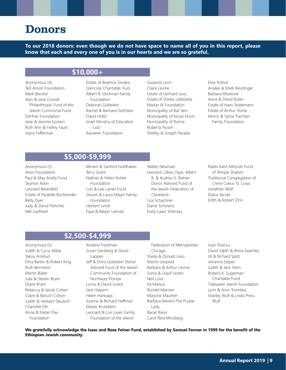### Donors

**To our 2018 donors: even though we do not have space to name all of you in this report, please know that each and every one of you is in our hearts and we are so grateful.**

### **\$10,000+**

Anonymous (4) Ted Arison Foundation Mark Brecker Alan & Jane Cornell Philanthropic Fund of the Jewish Communal Fund Derfner Foundation Jane & Jerome Epstein Ruth Ann & Halley Faust Joyce Fefferman

Estate of Beatrice Gindea Glencore Charitable Trust Albert B. Glickman Family Foundation Deborah Goldstein Rachel & Barnard Gottstein David Holtz Israel Ministry of Education  $-$  Lod Kassierer Foundation

Susanna Levin Claire Levine Estate of Gerhard Levy Estate of Shirley Liebowitz Madav IX Foundation Municipality of Bat Yam Municipality of Kiryat Ekron Municipality of Ramla Roberta Nusim Shelley & Joseph Paradis

#### Elise Pottick Analee & Mark Reutlinger Barbara Ribakove Aviva & David Rubin Estate of Hans Seidemann Estate of Arthur Stone Morris & Sylvia Trachten Family Foundation

### **\$5,000-\$9,999**

Anonymous (5) Arkin Foundation Paul & May Arielly Fund Seymor Askin Leonard Berenfield Estate of Paulette Buchbinder Betty Dyer Judy & David Fleischer Mel Garfinkel

Miriam & Sanford Goldhaber Terry Grant Nathan & Helen Kohler Foundation Luis & Lee Lainer Fund Steven & Laura Mayer Family Foundation Herbert Levitt Faye & Meyer Lieman

Walter Newman Leonard, Lillian, Faye, Albert B. & Audrey G. Ratner Donor Advised Fund of the Jewish Federation of Cleveland Lisa Schachner Elaine Schwartz Evely Laser Shlensky

Rabbi Kahn Mitzvah Fund of Temple Shalom Traditional Congregation of Creve Coeur, St. Louis Jonathan Wolf Diana Yacobi Edith & Robert Zinn

### **\$2,500-\$4,999**

Anonymous (5) Judith & Cyrus Abbe Yakov Amihud Dina Barlev & Robert King Ruth Bernstein Martin Bialer Julie & Steven Bram Diane Brant Rebecca & Jacob Cohen Claire & Baruch Cohon Judith & Herbert Deutsch Charlotte Eth Anna & Natan Flax Foundation

Andrew Friedman Susan Giesberg & David Lappen Jeff & Doris Goldstein Donor Advised Fund of the Jewish Community Foundation of Northeast Florida Lorna & David Golick Jack Halpern Helen Harkaspi Joanne & Richard Hoffman Eliezer Krumbein Leonard & Lois Laser Family Foundation of the Jewish

Federation of Metropolitan Chicago Sheila & Donald Leiss Martin Leopold Barbara & Arthur Levine Sonia & Lloyd Levitin Neil Lovit Ita Markus Ronald Marmer Marjorie Mautner Barbara Meislin/The Purple Lady Barak Raviv Carol Rest-Mincberg

Joan Poorvu David Sabih & Anna Swartley Jill & Richard Spitz Johanna Steper Judith & Jack Stern Robert A. Sugarman Charitable Fund Tidewater Jewish Foundation Lynn & Aron Trombka Stanley Wulf & Linda Press Wulf

**We gratefully acknowledge the Isaac and Rose Feiner Fund, established by Samuel Fenner in 1999 for the benefit of the Ethiopian-Jewish community.**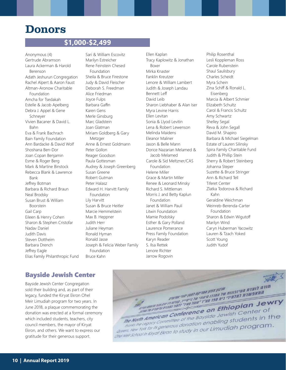### Donors

### **\$1,000-\$2,499**

Anonymous (4) Gertrude Abramson Laura Ackerman & Harold Berenson Adath Jeshurun Congregation Rachel Alpert & Aaron Faust Altman-Aronow Charitable Foundation Amcha for Tsedakah Estelle & Jacob Apelberg Debra J. Appel & Gene Schneyer Vivien Bacaner & David L. Bahn Eva & Frank Bachrach Bain Family Foundation Ann Bardacke & David Wolf Shoshana Ben-Dor Joan Copan Benjamin Esme & Roger Berg Mark & Martine Binstock Rebecca Blank & Lawrence Bank Jeffrey Botman Barbara & Richard Braun Neal Brodsky Susan Brust & William Boorstein Gail Carp Eileen & Henry Cohen Sharon & Stephen Cristofar Nadav Daniel Judith Davis Steven Dottheim Barbara Drench Jeffrey Eagle Elias Family Philanthropic Fund

Sari & William Escovitz Marilyn Estreicher Rene Feinstein Chesed Foundation Sheila & Bruce Firestone Judy & David Fleischer Deborah S. Freedman Alice Friedman Joyce Fulps Barbara Gaffin Karen Gens Merle Ginsburg Marc Gladstein Joan Glatman Miriam Goldberg & Gary Metzger Anne & Ernest Goldmann Peter Gollon Reager Goodson Paula Gottesman Audrey & Joseph Greenberg Susan Greene Robert Gutman Peter Halasz Edward H. Harvitt Family Foundation Lily Harvitt Susan & Bruce Heitler Marcie Hemmelstein Max B. Heppner Judith Herr Juliane Heyman Ronald Hyman Ronald Jasse Joseph & Felicia Weber Family Foundation Bruce Kahn

Ellen Kaplan Tracy Kaplowitz & Jonathan Boxer Mirka Knaster Fanklin Kreutzer Lenore & William Lambert Judith & Joseph Landau Bennett Leff David Leib Sharon Liebhaber & Alan Iser Myra Levine Harris Ellen Levitan Sonia & Llyod Levitin Lena & Robert Lewenson Melinda Maidens Eleanor Maliner Jason & Belle Mann Dorice Nazarian Melamed & Jacob Melamed Carole & Sid Meltzner/CAS Foundation Helene Miller Grace & Martin Miller Renee & Leonard Minsky Richard S. Mittleman Morris J. and Betty Kaplun Foundation Janet & William Pauli Litwin Foundation Mamie Podolsky Esther & Gary Polland Laurence Pomerance Press Family Foundation Karyn Reader S. Ilsa Rettek Lenore Richter Jarrow Rogovin

Philip Rosenthal Lesli Koppleman Ross Carole Rubenstein Shaul Saulisbury Charles Scheidt Myra Schein Zina Schiff & Ronald L. Eisenberg Marcia & Albert Schmier Elizabeth Schultz Carol & Francis Schultz Amy Schwartz Shelley Segal Reva & John Segall David M. Shapiro Barbara & Michael Siegelman Estate of Lauren Silinsky Spira Family Charitable Fund Judith & Phillip Stein Sherry & Robert Steinberg Johanna Steper Suzette & Bruce Stringer Ann & Richard Tell Tiferet Center Zlatka Todorova & Richard Kahn Geraldine Weichman Weinreb-Berenda-Carter Foundation Sharon & Edwin Wigutoff Marilyn Wind Caryn Huberman Yacowitz Lauren & Tzach Yoked Scott Young Judith Yudof

#### Bayside Jewish Center

Bayside Jewish Center Congregation sold their building and, as part of their legacy, funded the Kiryat Ekron Ohel Meir Limudiah program for two years. In June 2018, a plaque commemorating the donation was erected at a formal ceremony which included students, teachers, city council members, the mayor of Kiryat Ekron, and others. We want to express our gratitude for their generous support.

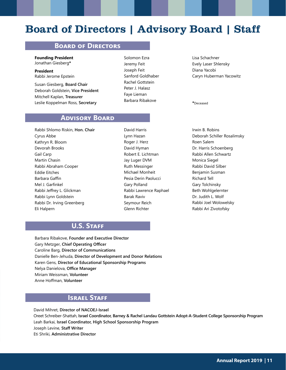### Board of Directors | Advisory Board | Staff

#### **Board of Directors**

**Founding President** Jonathan Giesberg**\***

**President** Rabbi Jerome Epstein

Susan Giesberg, **Board Chair** Deborah Goldstein, **Vice President** Mitchell Kaplan, **Treasurer** Leslie Koppelman Ross, **Secretary**

Solomon Ezra Jeremy Feit Joseph Feit Sanford Goldhaber Rachel Gottstein Peter J. Halasz Faye Lieman Barbara Ribakove

Lisa Schachner Evely Laser Shlensky Diana Yacobi Caryn Huberman Yacowitz

**\***Deceased

#### **Advisory Board**

Rabbi Shlomo Riskin, **Hon. Chair** Cyrus Abbe Kathryn R. Bloom Devorah Brooks Gail Carp Martin Chasin Rabbi Abraham Cooper Eddie Eitches Barbara Gaffin Mel J. Garfinkel Rabbi Jeffrey L. Glickman Rabbi Lynn Goldstein Rabbi Dr. Irving Greenberg Eli Halpern

David Harris Lynn Hazan Roger J. Herz David Hyman Robert E. Lichtman Jay Luger DVM Ruth Messinger Michael Monheit Pesia Derin Paolucci Gary Polland Rabbi Lawrence Raphael Barak Raviv Seymour Reich Glenn Richter

Irwin B. Robins Deborah Schiller Rosalimsky Roen Salem Dr. Harris Schoenberg Rabbi Allen Schwartz Monica Siegel Rabbi David Silber Benjamin Susman Richard Tell Gary Tolchinsky Beth Wohlgelernter Dr. Judith L. Wolf Rabbi Joel Wolowelsky Rabbi Ari Zivotofsky

### **U.S. Staff**

Barbara Ribakove, **Founder and Executive Director** Gary Metzger, **Chief Operating Officer** Caroline Barg, **Director of Communications** Danielle Ben-Jehuda, **Director of Development and Donor Relations** Karen Gens, **Director of Educational Sponsorship Programs** Nelya Danielova, **Office Manager** Miriam Weissman, **Volunteer** Anne Hoffman, **Volunteer**

### **Israel Staff**

David Mihret, **Director of NACOEJ-Israel** Oreet Schreiber-Shattah, **Israel Coordinator, Barney & Rachel Landau Gottstein Adopt-A-Student College Sponsorship Program** Leah Barkai, **Israel Coordinator, High School Sponsorship Program** Joseph Levine, **Staff Writer** Eti Shriki, **Administrative Director**